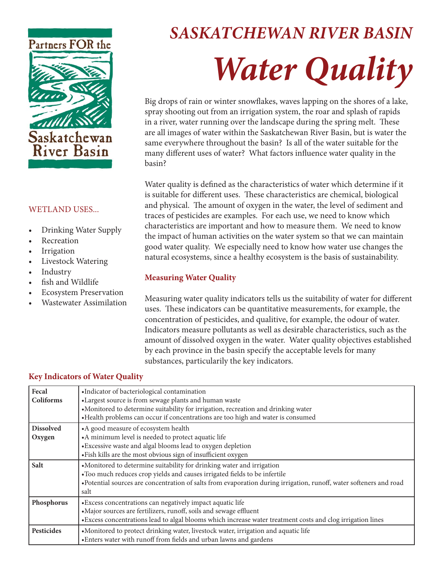

## WETLAND USES...

- Drinking Water Supply
- **Recreation**
- **Irrigation**
- Livestock Watering
- **Industry**
- fish and Wildlife
- Ecosystem Preservation
- Wastewater Assimilation

# *SASKATCHEWAN RIVER BASIN Water Quality*

Big drops of rain or winter snowflakes, waves lapping on the shores of a lake, spray shooting out from an irrigation system, the roar and splash of rapids in a river, water running over the landscape during the spring melt. These are all images of water within the Saskatchewan River Basin, but is water the same everywhere throughout the basin? Is all of the water suitable for the many different uses of water? What factors influence water quality in the basin?

Water quality is defined as the characteristics of water which determine if it is suitable for different uses. These characteristics are chemical, biological and physical. The amount of oxygen in the water, the level of sediment and traces of pesticides are examples. For each use, we need to know which characteristics are important and how to measure them. We need to know the impact of human activities on the water system so that we can maintain good water quality. We especially need to know how water use changes the natural ecosystems, since a healthy ecosystem is the basis of sustainability.

## **Measuring Water Quality**

Measuring water quality indicators tells us the suitability of water for different uses. These indicators can be quantitative measurements, for example, the concentration of pesticides, and qualitive, for example, the odour of water. Indicators measure pollutants as well as desirable characteristics, such as the amount of dissolved oxygen in the water. Water quality objectives established by each province in the basin specify the acceptable levels for many substances, particularily the key indicators.

## **Key Indicators of Water Quality**

| Fecal<br><b>Coliforms</b>  | ·Indicator of bacteriological contamination<br>•Largest source is from sewage plants and human waste<br>•Monitored to determine suitability for irrigation, recreation and drinking water<br>•Health problems can occur if concentrations are too high and water is consumed     |
|----------------------------|----------------------------------------------------------------------------------------------------------------------------------------------------------------------------------------------------------------------------------------------------------------------------------|
| <b>Dissolved</b><br>Oxygen | •A good measure of ecosystem health<br>•A minimum level is needed to protect aquatic life<br>• Excessive waste and algal blooms lead to oxygen depletion<br>·Fish kills are the most obvious sign of insufficient oxygen                                                         |
| Salt                       | •Monitored to determine suitability for drinking water and irrigation<br>•Too much reduces crop yields and causes irrigated fields to be infertile<br>•Potential sources are concentration of salts from evaporation during irrigation, runoff, water softeners and road<br>salt |
| Phosphorus                 | • Excess concentrations can negatively impact aquatic life<br>•Major sources are fertilizers, runoff, soils and sewage effluent<br>•Excess concentrations lead to algal blooms which increase water treatment costs and clog irrigation lines                                    |
| <b>Pesticides</b>          | •Monitored to protect drinking water, livestock water, irrigation and aquatic life<br>•Enters water with runoff from fields and urban lawns and gardens                                                                                                                          |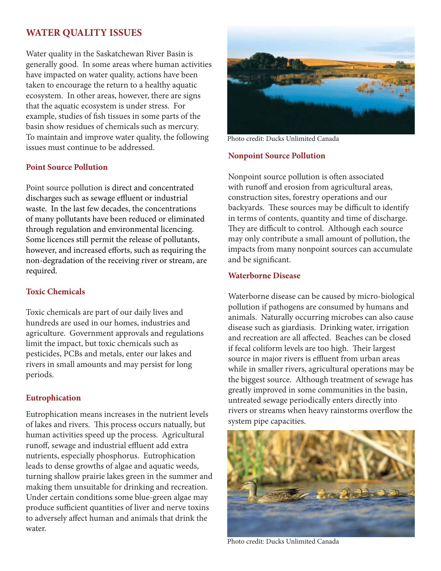## **WATER QUALITY ISSUES**

Water quality in the Saskatchewan River Basin is generally good. In some areas where human activities have impacted on water quality, actions have been taken to encourage the return to a healthy aquatic ecosystem. In other areas, however, there are signs that the aquatic ecosystem is under stress. For example, studies of fish tissues in some parts of the basin show residues of chemicals such as mercury. To maintain and improve water quality, the following issues must continue to be addressed.

#### **Point Source Pollution**

Point source pollution is direct and concentrated discharges such as sewage effluent or industrial waste. In the last few decades, the concentrations of many pollutants have been reduced or eliminated through regulation and environmental licencing. Some licences still permit the release of pollutants, however, and increased efforts, such as requiring the non-degradation of the receiving river or stream, are required.

## **Toxic Chemicals**

Toxic chemicals are part of our daily lives and hundreds are used in our homes, industries and agriculture. Government approvals and regulations limit the impact, but toxic chemicals such as pesticides, PCBs and metals, enter our lakes and rivers in small amounts and may persist for long periods.

#### **Eutrophication**

Eutrophication means increases in the nutrient levels of lakes and rivers. This process occurs natually, but human activities speed up the process. Agricultural runoff, sewage and industrial effluent add extra nutrients, especially phosphorus. Eutrophication leads to dense growths of algae and aquatic weeds, turning shallow prairie lakes green in the summer and making them unsuitable for drinking and recreation. Under certain conditions some blue-green algae may produce sufficient quantities of liver and nerve toxins to adversely affect human and animals that drink the water.



Photo credit: Ducks Unlimited Canada

#### **Nonpoint Source Pollution**

Nonpoint source pollution is often associated with runoff and erosion from agricultural areas, construction sites, forestry operations and our backyards. These sources may be difficult to identify in terms of contents, quantity and time of discharge. They are difficult to control. Although each source may only contribute a small amount of pollution, the impacts from many nonpoint sources can accumulate and be significant.

#### **Waterborne Disease**

Waterborne disease can be caused by micro-biological pollution if pathogens are consumed by humans and animals. Naturally occurring microbes can also cause disease such as giardiasis. Drinking water, irrigation and recreation are all affected. Beaches can be closed if fecal coliform levels are too high. Their largest source in major rivers is effluent from urban areas while in smaller rivers, agricultural operations may be the biggest source. Although treatment of sewage has greatly improved in some communities in the basin, untreated sewage periodically enters directly into rivers or streams when heavy rainstorms overflow the system pipe capacities.



Photo credit: Ducks Unlimited Canada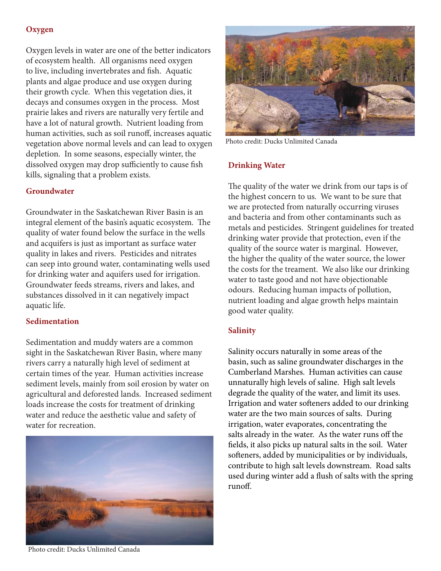## **Oxygen**

Oxygen levels in water are one of the better indicators of ecosystem health. All organisms need oxygen to live, including invertebrates and fish. Aquatic plants and algae produce and use oxygen during their growth cycle. When this vegetation dies, it decays and consumes oxygen in the process. Most prairie lakes and rivers are naturally very fertile and have a lot of natural growth. Nutrient loading from human activities, such as soil runoff, increases aquatic vegetation above normal levels and can lead to oxygen depletion. In some seasons, especially winter, the dissolved oxygen may drop sufficiently to cause fish kills, signaling that a problem exists.

#### **Groundwater**

Groundwater in the Saskatchewan River Basin is an integral element of the basin's aquatic ecosystem. The quality of water found below the surface in the wells and acquifers is just as important as surface water quality in lakes and rivers. Pesticides and nitrates can seep into ground water, contaminating wells used for drinking water and aquifers used for irrigation. Groundwater feeds streams, rivers and lakes, and substances dissolved in it can negatively impact aquatic life.

#### **Sedimentation**

Sedimentation and muddy waters are a common sight in the Saskatchewan River Basin, where many rivers carry a naturally high level of sediment at certain times of the year. Human activities increase sediment levels, mainly from soil erosion by water on agricultural and deforested lands. Increased sediment loads increase the costs for treatment of drinking water and reduce the aesthetic value and safety of water for recreation.





Photo credit: Ducks Unlimited Canada

#### **Drinking Water**

The quality of the water we drink from our taps is of the highest concern to us. We want to be sure that we are protected from naturally occurring viruses and bacteria and from other contaminants such as metals and pesticides. Stringent guidelines for treated drinking water provide that protection, even if the quality of the source water is marginal. However, the higher the quality of the water source, the lower the costs for the treament. We also like our drinking water to taste good and not have objectionable odours. Reducing human impacts of pollution, nutrient loading and algae growth helps maintain good water quality.

## **Salinity**

Salinity occurs naturally in some areas of the basin, such as saline groundwater discharges in the Cumberland Marshes. Human activities can cause unnaturally high levels of saline. High salt levels degrade the quality of the water, and limit its uses. Irrigation and water softeners added to our drinking water are the two main sources of salts. During irrigation, water evaporates, concentrating the salts already in the water. As the water runs off the fields, it also picks up natural salts in the soil. Water softeners, added by municipalities or by individuals, contribute to high salt levels downstream. Road salts used during winter add a flush of salts with the spring runoff.

Photo credit: Ducks Unlimited Canada